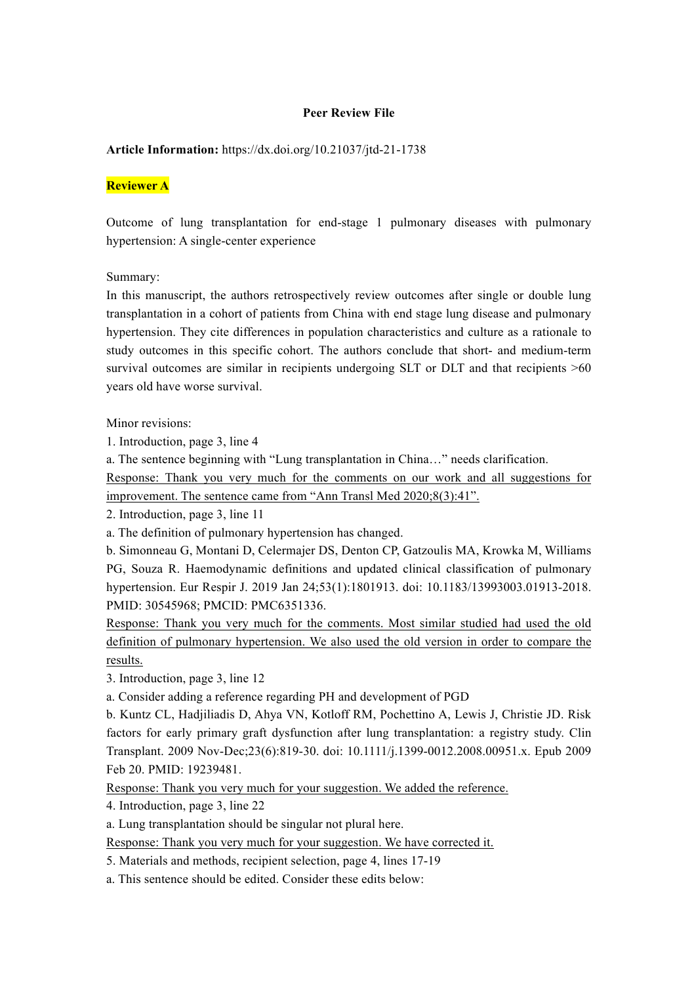#### **Peer Review File**

#### **Article Information:** https://dx.doi.org/10.21037/jtd-21-1738

#### **Reviewer A**

Outcome of lung transplantation for end-stage 1 pulmonary diseases with pulmonary hypertension: A single-center experience

Summary:

In this manuscript, the authors retrospectively review outcomes after single or double lung transplantation in a cohort of patients from China with end stage lung disease and pulmonary hypertension. They cite differences in population characteristics and culture as a rationale to study outcomes in this specific cohort. The authors conclude that short- and medium-term survival outcomes are similar in recipients undergoing SLT or DLT and that recipients  $>60$ years old have worse survival.

Minor revisions:

1. Introduction, page 3, line 4

a. The sentence beginning with "Lung transplantation in China…" needs clarification.

Response: Thank you very much for the comments on our work and all suggestions for improvement. The sentence came from "Ann Transl Med 2020;8(3):41".

2. Introduction, page 3, line 11

a. The definition of pulmonary hypertension has changed.

b. Simonneau G, Montani D, Celermajer DS, Denton CP, Gatzoulis MA, Krowka M, Williams PG, Souza R. Haemodynamic definitions and updated clinical classification of pulmonary hypertension. Eur Respir J. 2019 Jan 24;53(1):1801913. doi: 10.1183/13993003.01913-2018. PMID: 30545968; PMCID: PMC6351336.

Response: Thank you very much for the comments. Most similar studied had used the old definition of pulmonary hypertension. We also used the old version in order to compare the results.

3. Introduction, page 3, line 12

a. Consider adding a reference regarding PH and development of PGD

b. Kuntz CL, Hadjiliadis D, Ahya VN, Kotloff RM, Pochettino A, Lewis J, Christie JD. Risk factors for early primary graft dysfunction after lung transplantation: a registry study. Clin Transplant. 2009 Nov-Dec;23(6):819-30. doi: 10.1111/j.1399-0012.2008.00951.x. Epub 2009 Feb 20. PMID: 19239481.

Response: Thank you very much for your suggestion. We added the reference.

4. Introduction, page 3, line 22

a. Lung transplantation should be singular not plural here.

Response: Thank you very much for your suggestion. We have corrected it.

5. Materials and methods, recipient selection, page 4, lines 17-19

a. This sentence should be edited. Consider these edits below: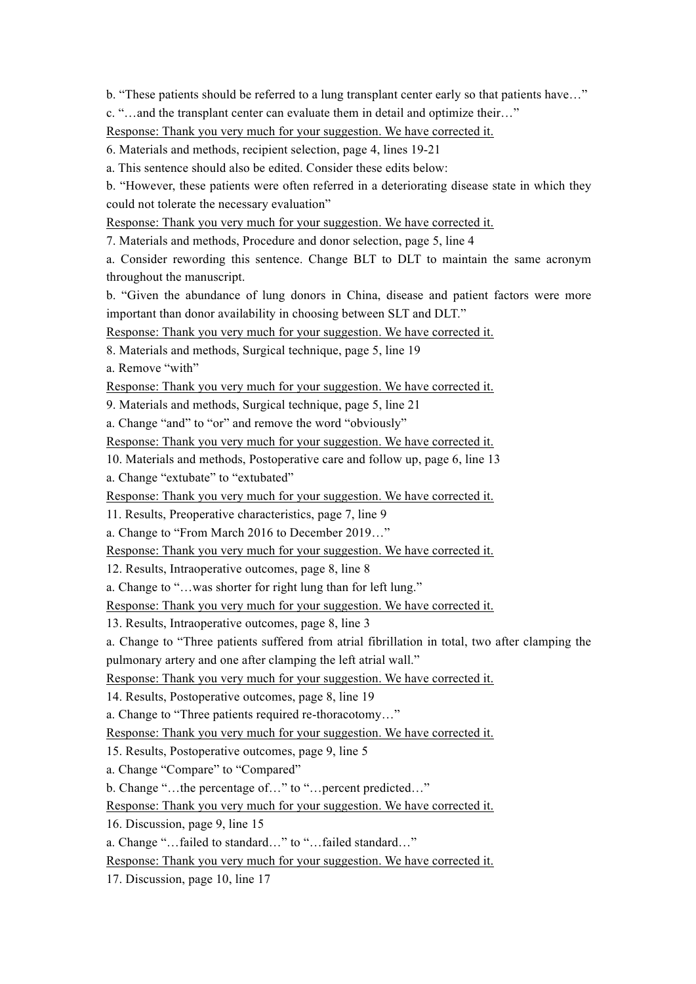b. "These patients should be referred to a lung transplant center early so that patients have…"

c. "…and the transplant center can evaluate them in detail and optimize their…"

Response: Thank you very much for your suggestion. We have corrected it.

6. Materials and methods, recipient selection, page 4, lines 19-21

a. This sentence should also be edited. Consider these edits below:

b. "However, these patients were often referred in a deteriorating disease state in which they could not tolerate the necessary evaluation"

Response: Thank you very much for your suggestion. We have corrected it.

7. Materials and methods, Procedure and donor selection, page 5, line 4

a. Consider rewording this sentence. Change BLT to DLT to maintain the same acronym throughout the manuscript.

b. "Given the abundance of lung donors in China, disease and patient factors were more important than donor availability in choosing between SLT and DLT."

Response: Thank you very much for your suggestion. We have corrected it.

8. Materials and methods, Surgical technique, page 5, line 19

a. Remove "with"

Response: Thank you very much for your suggestion. We have corrected it.

9. Materials and methods, Surgical technique, page 5, line 21

a. Change "and" to "or" and remove the word "obviously"

Response: Thank you very much for your suggestion. We have corrected it.

10. Materials and methods, Postoperative care and follow up, page 6, line 13

a. Change "extubate" to "extubated"

Response: Thank you very much for your suggestion. We have corrected it.

11. Results, Preoperative characteristics, page 7, line 9

a. Change to "From March 2016 to December 2019…"

Response: Thank you very much for your suggestion. We have corrected it.

12. Results, Intraoperative outcomes, page 8, line 8

a. Change to "…was shorter for right lung than for left lung."

Response: Thank you very much for your suggestion. We have corrected it.

13. Results, Intraoperative outcomes, page 8, line 3

a. Change to "Three patients suffered from atrial fibrillation in total, two after clamping the pulmonary artery and one after clamping the left atrial wall."

Response: Thank you very much for your suggestion. We have corrected it.

14. Results, Postoperative outcomes, page 8, line 19

a. Change to "Three patients required re-thoracotomy…"

Response: Thank you very much for your suggestion. We have corrected it.

15. Results, Postoperative outcomes, page 9, line 5

a. Change "Compare" to "Compared"

b. Change "…the percentage of…" to "…percent predicted…"

Response: Thank you very much for your suggestion. We have corrected it.

16. Discussion, page 9, line 15

a. Change "…failed to standard…" to "…failed standard…"

Response: Thank you very much for your suggestion. We have corrected it.

17. Discussion, page 10, line 17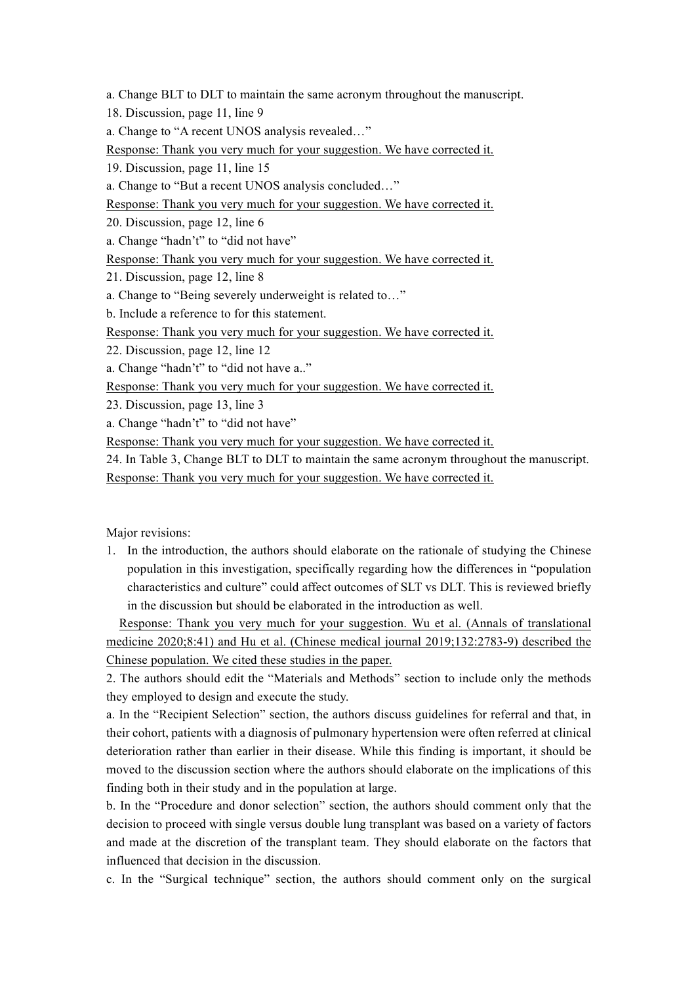a. Change BLT to DLT to maintain the same acronym throughout the manuscript.

18. Discussion, page 11, line 9

a. Change to "A recent UNOS analysis revealed…"

Response: Thank you very much for your suggestion. We have corrected it.

19. Discussion, page 11, line 15

a. Change to "But a recent UNOS analysis concluded…"

Response: Thank you very much for your suggestion. We have corrected it.

20. Discussion, page 12, line 6

a. Change "hadn't" to "did not have"

Response: Thank you very much for your suggestion. We have corrected it.

21. Discussion, page 12, line 8

a. Change to "Being severely underweight is related to…"

b. Include a reference to for this statement.

Response: Thank you very much for your suggestion. We have corrected it.

22. Discussion, page 12, line 12

a. Change "hadn't" to "did not have a.."

Response: Thank you very much for your suggestion. We have corrected it.

23. Discussion, page 13, line 3

a. Change "hadn't" to "did not have"

Response: Thank you very much for your suggestion. We have corrected it.

24. In Table 3, Change BLT to DLT to maintain the same acronym throughout the manuscript. Response: Thank you very much for your suggestion. We have corrected it.

Major revisions:

1. In the introduction, the authors should elaborate on the rationale of studying the Chinese population in this investigation, specifically regarding how the differences in "population characteristics and culture" could affect outcomes of SLT vs DLT. This is reviewed briefly in the discussion but should be elaborated in the introduction as well.

Response: Thank you very much for your suggestion. Wu et al. (Annals of translational medicine 2020;8:41) and Hu et al. (Chinese medical journal 2019;132:2783-9) described the Chinese population. We cited these studies in the paper.

2. The authors should edit the "Materials and Methods" section to include only the methods they employed to design and execute the study.

a. In the "Recipient Selection" section, the authors discuss guidelines for referral and that, in their cohort, patients with a diagnosis of pulmonary hypertension were often referred at clinical deterioration rather than earlier in their disease. While this finding is important, it should be moved to the discussion section where the authors should elaborate on the implications of this finding both in their study and in the population at large.

b. In the "Procedure and donor selection" section, the authors should comment only that the decision to proceed with single versus double lung transplant was based on a variety of factors and made at the discretion of the transplant team. They should elaborate on the factors that influenced that decision in the discussion.

c. In the "Surgical technique" section, the authors should comment only on the surgical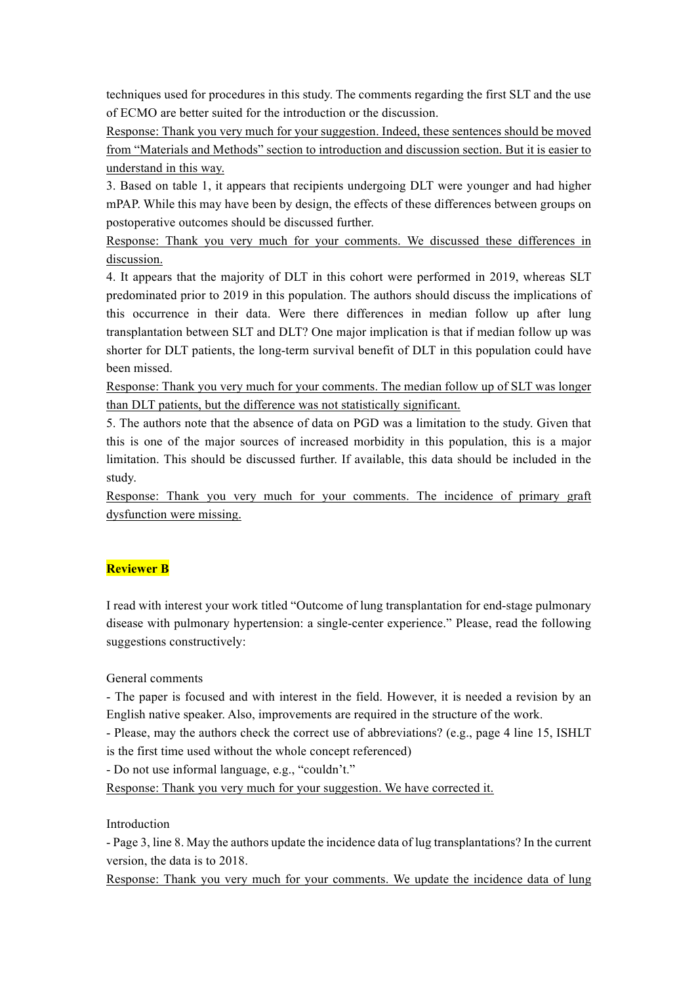techniques used for procedures in this study. The comments regarding the first SLT and the use of ECMO are better suited for the introduction or the discussion.

Response: Thank you very much for your suggestion. Indeed, these sentences should be moved from "Materials and Methods" section to introduction and discussion section. But it is easier to understand in this way.

3. Based on table 1, it appears that recipients undergoing DLT were younger and had higher mPAP. While this may have been by design, the effects of these differences between groups on postoperative outcomes should be discussed further.

Response: Thank you very much for your comments. We discussed these differences in discussion.

4. It appears that the majority of DLT in this cohort were performed in 2019, whereas SLT predominated prior to 2019 in this population. The authors should discuss the implications of this occurrence in their data. Were there differences in median follow up after lung transplantation between SLT and DLT? One major implication is that if median follow up was shorter for DLT patients, the long-term survival benefit of DLT in this population could have been missed.

Response: Thank you very much for your comments. The median follow up of SLT was longer than DLT patients, but the difference was not statistically significant.

5. The authors note that the absence of data on PGD was a limitation to the study. Given that this is one of the major sources of increased morbidity in this population, this is a major limitation. This should be discussed further. If available, this data should be included in the study.

Response: Thank you very much for your comments. The incidence of primary graft dysfunction were missing.

# **Reviewer B**

I read with interest your work titled "Outcome of lung transplantation for end-stage pulmonary disease with pulmonary hypertension: a single-center experience." Please, read the following suggestions constructively:

## General comments

- The paper is focused and with interest in the field. However, it is needed a revision by an English native speaker. Also, improvements are required in the structure of the work.

- Please, may the authors check the correct use of abbreviations? (e.g., page 4 line 15, ISHLT is the first time used without the whole concept referenced)

- Do not use informal language, e.g., "couldn't."

Response: Thank you very much for your suggestion. We have corrected it.

## Introduction

- Page 3, line 8. May the authors update the incidence data of lug transplantations? In the current version, the data is to 2018.

Response: Thank you very much for your comments. We update the incidence data of lung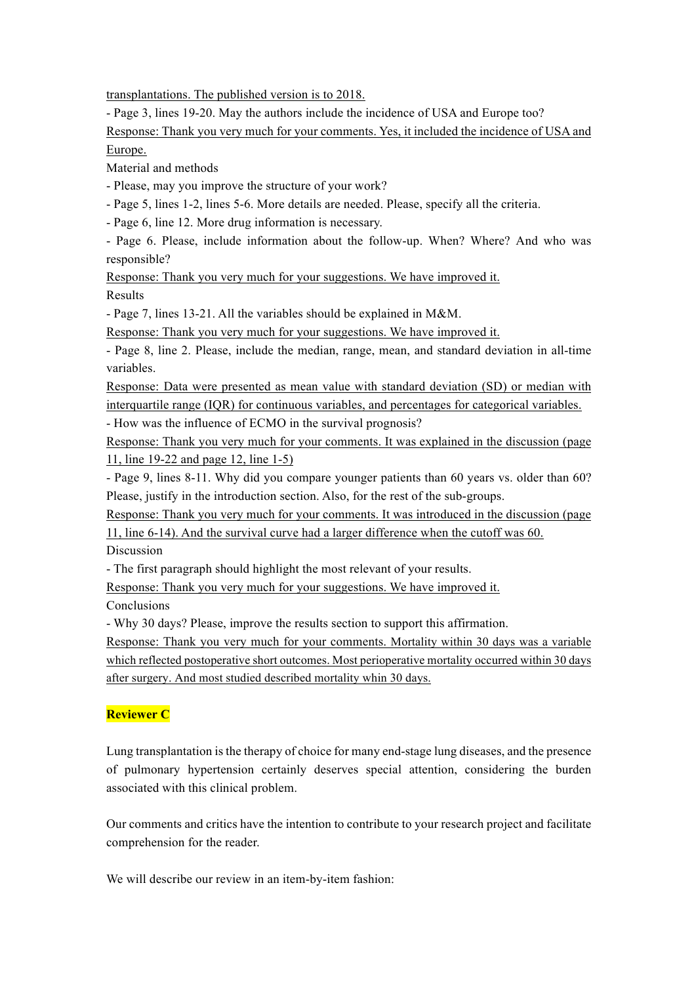transplantations. The published version is to 2018.

- Page 3, lines 19-20. May the authors include the incidence of USA and Europe too?

Response: Thank you very much for your comments. Yes, it included the incidence of USA and Europe.

Material and methods

- Please, may you improve the structure of your work?

- Page 5, lines 1-2, lines 5-6. More details are needed. Please, specify all the criteria.

- Page 6, line 12. More drug information is necessary.

- Page 6. Please, include information about the follow-up. When? Where? And who was responsible?

Response: Thank you very much for your suggestions. We have improved it. Results

- Page 7, lines 13-21. All the variables should be explained in M&M.

Response: Thank you very much for your suggestions. We have improved it.

- Page 8, line 2. Please, include the median, range, mean, and standard deviation in all-time variables.

Response: Data were presented as mean value with standard deviation (SD) or median with interquartile range (IQR) for continuous variables, and percentages for categorical variables.

- How was the influence of ECMO in the survival prognosis?

Response: Thank you very much for your comments. It was explained in the discussion (page 11, line 19-22 and page 12, line 1-5)

- Page 9, lines 8-11. Why did you compare younger patients than 60 years vs. older than 60? Please, justify in the introduction section. Also, for the rest of the sub-groups.

Response: Thank you very much for your comments. It was introduced in the discussion (page 11, line 6-14). And the survival curve had a larger difference when the cutoff was 60.

Discussion

- The first paragraph should highlight the most relevant of your results.

Response: Thank you very much for your suggestions. We have improved it.

**Conclusions** 

- Why 30 days? Please, improve the results section to support this affirmation.

Response: Thank you very much for your comments. Mortality within 30 days was a variable which reflected postoperative short outcomes. Most perioperative mortality occurred within 30 days after surgery. And most studied described mortality whin 30 days.

# **Reviewer C**

Lung transplantation is the therapy of choice for many end-stage lung diseases, and the presence of pulmonary hypertension certainly deserves special attention, considering the burden associated with this clinical problem.

Our comments and critics have the intention to contribute to your research project and facilitate comprehension for the reader.

We will describe our review in an item-by-item fashion: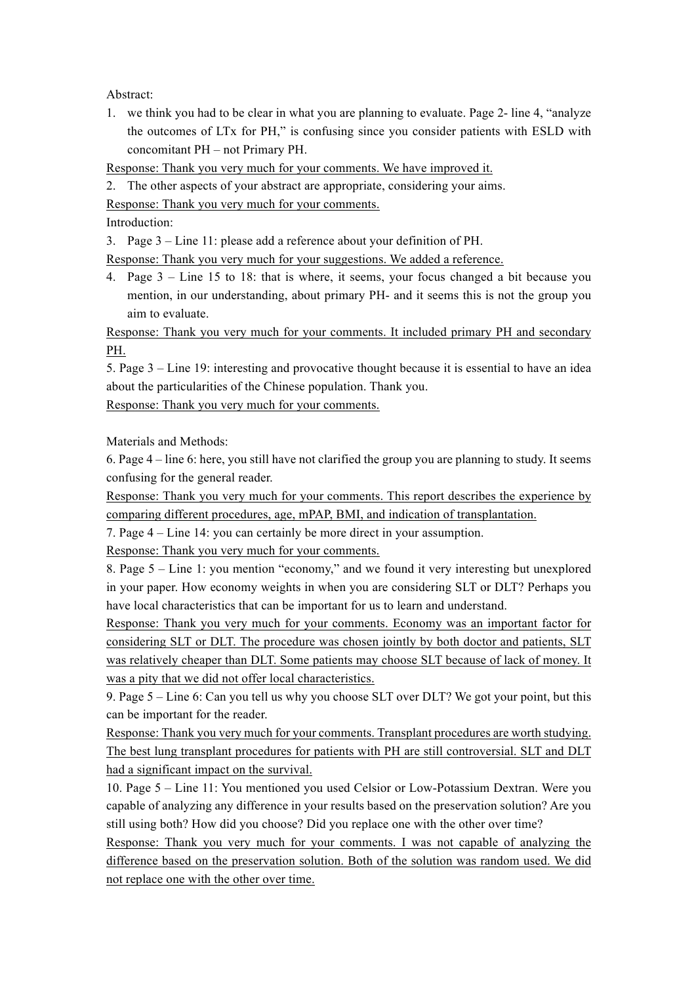Abstract:

1. we think you had to be clear in what you are planning to evaluate. Page 2- line 4, "analyze the outcomes of LTx for PH," is confusing since you consider patients with ESLD with concomitant PH – not Primary PH.

Response: Thank you very much for your comments. We have improved it.

2. The other aspects of your abstract are appropriate, considering your aims.

Response: Thank you very much for your comments.

Introduction:

3. Page 3 – Line 11: please add a reference about your definition of PH.

Response: Thank you very much for your suggestions. We added a reference.

4. Page 3 – Line 15 to 18: that is where, it seems, your focus changed a bit because you mention, in our understanding, about primary PH- and it seems this is not the group you aim to evaluate.

Response: Thank you very much for your comments. It included primary PH and secondary PH.

5. Page 3 – Line 19: interesting and provocative thought because it is essential to have an idea about the particularities of the Chinese population. Thank you.

Response: Thank you very much for your comments.

Materials and Methods:

6. Page 4 – line 6: here, you still have not clarified the group you are planning to study. It seems confusing for the general reader.

Response: Thank you very much for your comments. This report describes the experience by comparing different procedures, age, mPAP, BMI, and indication of transplantation.

7. Page 4 – Line 14: you can certainly be more direct in your assumption.

Response: Thank you very much for your comments.

8. Page 5 – Line 1: you mention "economy," and we found it very interesting but unexplored in your paper. How economy weights in when you are considering SLT or DLT? Perhaps you have local characteristics that can be important for us to learn and understand.

Response: Thank you very much for your comments. Economy was an important factor for considering SLT or DLT. The procedure was chosen jointly by both doctor and patients, SLT was relatively cheaper than DLT. Some patients may choose SLT because of lack of money. It was a pity that we did not offer local characteristics.

9. Page 5 – Line 6: Can you tell us why you choose SLT over DLT? We got your point, but this can be important for the reader.

Response: Thank you very much for your comments. Transplant procedures are worth studying. The best lung transplant procedures for patients with PH are still controversial. SLT and DLT had a significant impact on the survival.

10. Page 5 – Line 11: You mentioned you used Celsior or Low-Potassium Dextran. Were you capable of analyzing any difference in your results based on the preservation solution? Are you still using both? How did you choose? Did you replace one with the other over time?

Response: Thank you very much for your comments. I was not capable of analyzing the difference based on the preservation solution. Both of the solution was random used. We did not replace one with the other over time.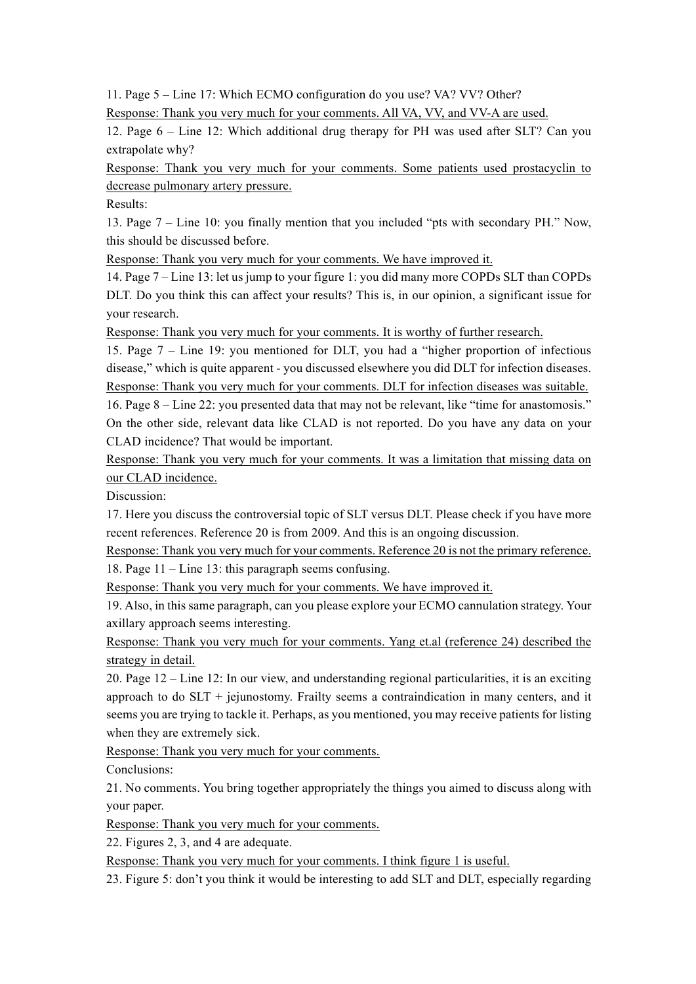11. Page 5 – Line 17: Which ECMO configuration do you use? VA? VV? Other?

Response: Thank you very much for your comments. All VA, VV, and VV-A are used.

12. Page 6 – Line 12: Which additional drug therapy for PH was used after SLT? Can you extrapolate why?

Response: Thank you very much for your comments. Some patients used prostacyclin to decrease pulmonary artery pressure.

Results:

13. Page 7 – Line 10: you finally mention that you included "pts with secondary PH." Now, this should be discussed before.

Response: Thank you very much for your comments. We have improved it.

14. Page 7 – Line 13: let us jump to your figure 1: you did many more COPDs SLT than COPDs DLT. Do you think this can affect your results? This is, in our opinion, a significant issue for your research.

Response: Thank you very much for your comments. It is worthy of further research.

15. Page 7 – Line 19: you mentioned for DLT, you had a "higher proportion of infectious disease," which is quite apparent - you discussed elsewhere you did DLT for infection diseases. Response: Thank you very much for your comments. DLT for infection diseases was suitable.

16. Page 8 – Line 22: you presented data that may not be relevant, like "time for anastomosis." On the other side, relevant data like CLAD is not reported. Do you have any data on your CLAD incidence? That would be important.

Response: Thank you very much for your comments. It was a limitation that missing data on our CLAD incidence.

Discussion:

17. Here you discuss the controversial topic of SLT versus DLT. Please check if you have more recent references. Reference 20 is from 2009. And this is an ongoing discussion.

Response: Thank you very much for your comments. Reference 20 is not the primary reference. 18. Page 11 – Line 13: this paragraph seems confusing.

Response: Thank you very much for your comments. We have improved it.

19. Also, in this same paragraph, can you please explore your ECMO cannulation strategy. Your axillary approach seems interesting.

Response: Thank you very much for your comments. Yang et.al (reference 24) described the strategy in detail.

20. Page 12 – Line 12: In our view, and understanding regional particularities, it is an exciting approach to do SLT + jejunostomy. Frailty seems a contraindication in many centers, and it seems you are trying to tackle it. Perhaps, as you mentioned, you may receive patients for listing when they are extremely sick.

Response: Thank you very much for your comments.

Conclusions:

21. No comments. You bring together appropriately the things you aimed to discuss along with your paper.

Response: Thank you very much for your comments.

22. Figures 2, 3, and 4 are adequate.

Response: Thank you very much for your comments. I think figure 1 is useful.

23. Figure 5: don't you think it would be interesting to add SLT and DLT, especially regarding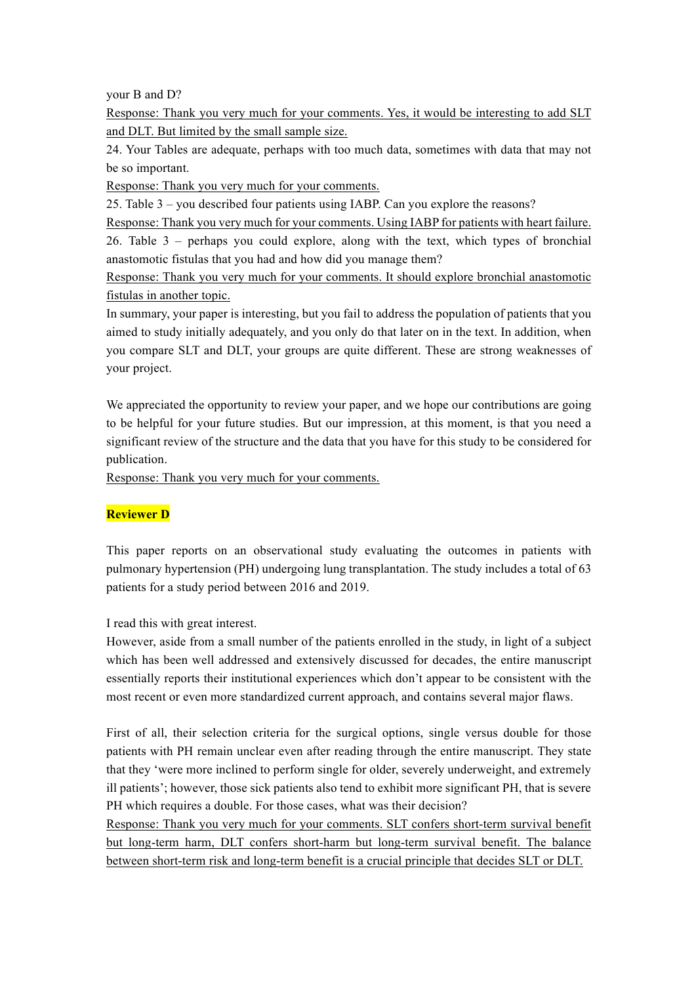your B and D?

Response: Thank you very much for your comments. Yes, it would be interesting to add SLT and DLT. But limited by the small sample size.

24. Your Tables are adequate, perhaps with too much data, sometimes with data that may not be so important.

Response: Thank you very much for your comments.

25. Table 3 – you described four patients using IABP. Can you explore the reasons?

Response: Thank you very much for your comments. Using IABP for patients with heart failure. 26. Table 3 – perhaps you could explore, along with the text, which types of bronchial anastomotic fistulas that you had and how did you manage them?

Response: Thank you very much for your comments. It should explore bronchial anastomotic fistulas in another topic.

In summary, your paper is interesting, but you fail to address the population of patients that you aimed to study initially adequately, and you only do that later on in the text. In addition, when you compare SLT and DLT, your groups are quite different. These are strong weaknesses of your project.

We appreciated the opportunity to review your paper, and we hope our contributions are going to be helpful for your future studies. But our impression, at this moment, is that you need a significant review of the structure and the data that you have for this study to be considered for publication.

Response: Thank you very much for your comments.

## **Reviewer D**

This paper reports on an observational study evaluating the outcomes in patients with pulmonary hypertension (PH) undergoing lung transplantation. The study includes a total of 63 patients for a study period between 2016 and 2019.

I read this with great interest.

However, aside from a small number of the patients enrolled in the study, in light of a subject which has been well addressed and extensively discussed for decades, the entire manuscript essentially reports their institutional experiences which don't appear to be consistent with the most recent or even more standardized current approach, and contains several major flaws.

First of all, their selection criteria for the surgical options, single versus double for those patients with PH remain unclear even after reading through the entire manuscript. They state that they 'were more inclined to perform single for older, severely underweight, and extremely ill patients'; however, those sick patients also tend to exhibit more significant PH, that is severe PH which requires a double. For those cases, what was their decision?

Response: Thank you very much for your comments. SLT confers short-term survival benefit but long-term harm, DLT confers short-harm but long-term survival benefit. The balance between short-term risk and long-term benefit is a crucial principle that decides SLT or DLT.